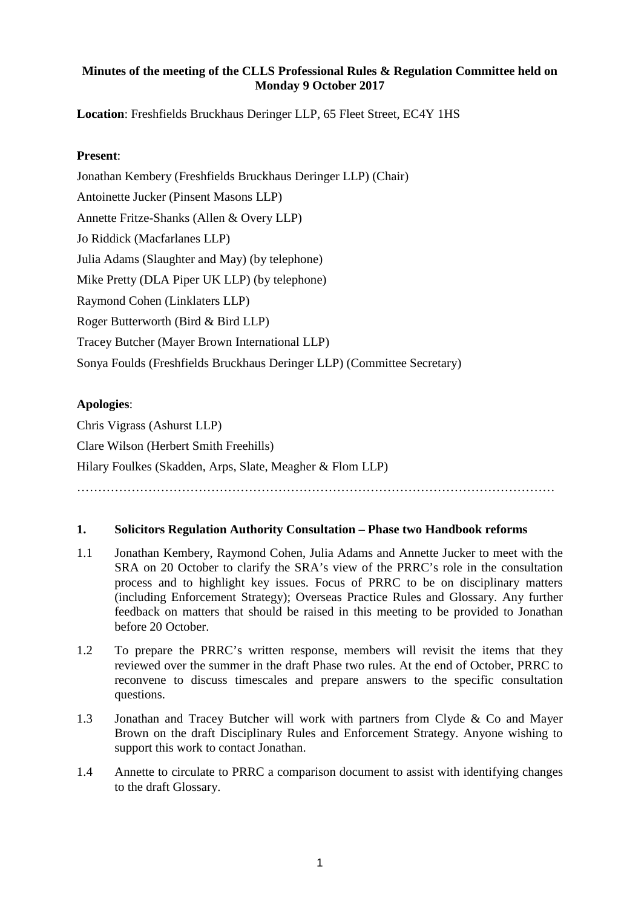### **Minutes of the meeting of the CLLS Professional Rules & Regulation Committee held on Monday 9 October 2017**

**Location**: Freshfields Bruckhaus Deringer LLP, 65 Fleet Street, EC4Y 1HS

### **Present**:

Jonathan Kembery (Freshfields Bruckhaus Deringer LLP) (Chair) Antoinette Jucker (Pinsent Masons LLP) Annette Fritze-Shanks (Allen & Overy LLP) Jo Riddick (Macfarlanes LLP) Julia Adams (Slaughter and May) (by telephone) Mike Pretty (DLA Piper UK LLP) (by telephone) Raymond Cohen (Linklaters LLP) Roger Butterworth (Bird & Bird LLP) Tracey Butcher (Mayer Brown International LLP) Sonya Foulds (Freshfields Bruckhaus Deringer LLP) (Committee Secretary)

# **Apologies**:

Chris Vigrass (Ashurst LLP) Clare Wilson (Herbert Smith Freehills) Hilary Foulkes (Skadden, Arps, Slate, Meagher & Flom LLP) ……………………………………………………………………………………………………

#### **1. Solicitors Regulation Authority Consultation – Phase two Handbook reforms**

- 1.1 Jonathan Kembery, Raymond Cohen, Julia Adams and Annette Jucker to meet with the SRA on 20 October to clarify the SRA's view of the PRRC's role in the consultation process and to highlight key issues. Focus of PRRC to be on disciplinary matters (including Enforcement Strategy); Overseas Practice Rules and Glossary. Any further feedback on matters that should be raised in this meeting to be provided to Jonathan before 20 October.
- 1.2 To prepare the PRRC's written response, members will revisit the items that they reviewed over the summer in the draft Phase two rules. At the end of October, PRRC to reconvene to discuss timescales and prepare answers to the specific consultation questions.
- 1.3 Jonathan and Tracey Butcher will work with partners from Clyde & Co and Mayer Brown on the draft Disciplinary Rules and Enforcement Strategy. Anyone wishing to support this work to contact Jonathan.
- 1.4 Annette to circulate to PRRC a comparison document to assist with identifying changes to the draft Glossary.